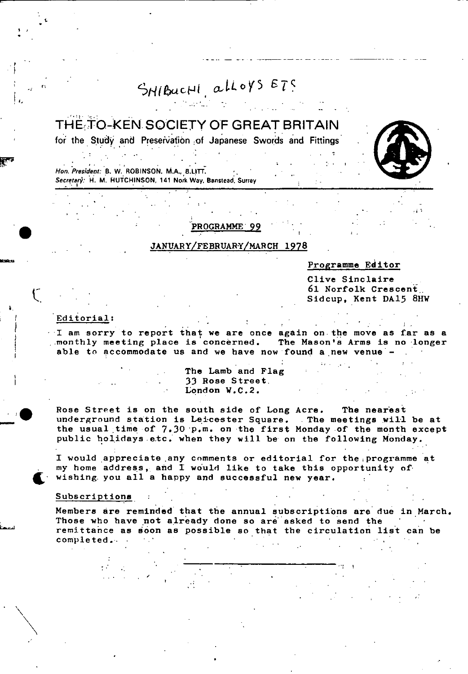# SHIBUCHI, alloys ETS

# THE TO-KEN SOCIETY OF GREAT BRITAIN

for the Study and Preservation of Japanese Swords and Fittings

en de la companya de la companya de la companya de la companya de la companya de la companya de la companya de **Hon. President B. W. ROBINSON,** M.A., **B.L!U. .**  Secretary: H. M. HUTCHINSON, 141 Nork Way. Banstead. Surrey



# ROGRAMME 99

## JANUARY/FEBRUARY/MARCH 1978

## Programme Editor

Clive Sinclaire 61 Norfolk Crescent.. Sidcup, Kent DA15 8HW

#### Editorial:

I.

1 am sorry to report that we are once again on.the move as far as a monthly meeting place is concerned. The Mason's Arms is no longer able to accommodate us and we have now found a new venue -

The Lamb and Flag 33 Rose Street, London W.C.2.

Rose Street is on the south side of Long Acre. The nearest underground station is Leicester Square. The meetings will be at the usual time of 7.30 p.m. on the first Monday of the month except public holidays-etc. when they will be on the following Monday.

I would appreciate any comments or editorial for the programme at my home address, and I would like to take this opportunity of wishing you all a happy and successful new year.

#### Subscriptions

**t**

II

.

 $\mathcal{L}_{\mathcal{C}}$ 

Members are reminded that the annual subscriptions are due in March. Those who have not already done so are asked to send the remittahce as soon as possible so that the circulation list can be completed  $\mathcal{L}^{\mathcal{L}}$  . In the contribution of the contribution of  $\mathcal{L}^{\mathcal{L}}$  . In the contribution of  $\mathcal{L}^{\mathcal{L}}$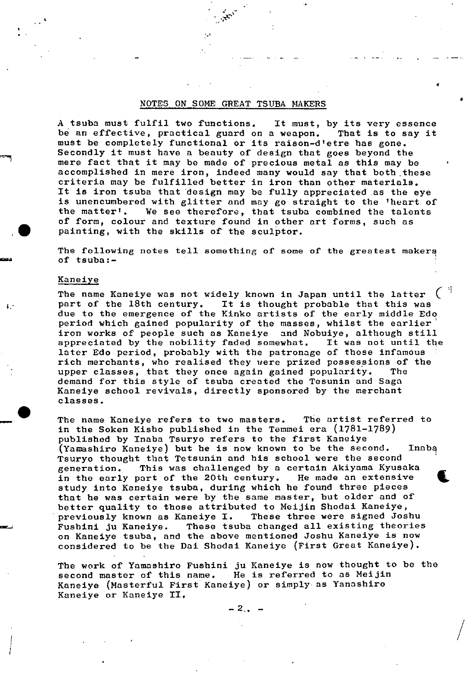#### NOTES ON SOME GREAT TSUBA MAKERS

A tsuba must fulfil two functions. It must, by its very essence be an effective, practical guard on a weapon. That is to say it must be completely functional or its raison-d'etre has gone. Secondly it must have a beauty of design that goes beyond the mere fact that it may be made of precious metal as this may be accomplished in mere iron, indeed many would say that both these criteria may be fulfilled better in iron than other materials. It is iron tsuba that 'design may be fully appreciated as the eye is unencumbered with glitter and may go straight to the 'heart of the matter'. We see therefore, that tsuba combined the talents of form, colour and texture found in other art forms, such as painting, with the skills of the sculptor.

C

/

The following notes tell something of some of the greatest makers of tsuba:- -

#### Kane iye

i.

The name Kaneiye was not widely known in Japan until the latter<br>part of the 18th century. It is thought probable that this was It is thought probable that this was due to the emergence of the Kinko artists of the early middle Edo period which gained popularity of the masses, whilst the earlier iron works of people such as Kaneiye and Nobuiye, although still<br>appreciated by the nobility faded somewhat. It was not until the appreciated by the nobility faded somewhat. later Edo period, probably with the patronage of those infamous rich merchants, who realised they were prized possessions of the<br>upper classes, that they once again gained popularity. The upper classes, that they once again gained popularity. demand for this style of tsuba created the Tesunin and Saga Kaneiye school revivals, directly sponsored by the merchant classes.

The name Kaneiye refers to two masters. The artist referred to in the Soken Kisho published in the Temmei era (1781-1789) published by Inaba Tsuryo refers to the first Kaneiye (Yamashiro Kaneiye) but he is now known to be the second. Inaba Tramashiro Kaneiye) but he is now known to be the second. Inaba<br>
Tsuryo thought that Tetsunin and his school were the second<br>
generation. This was challenged by a certain Akiyama Kyusaka<br>
in the early part of the 20th cent generation. This was challenged by a certain Akiyama Kyusaka<br>in the early part of the 20th century. He made an extensive study into Kaneiye tsuba, during which he found three pieces that he was certain were by the same master, but older and of better quality to those attributed to Meijin Shodai Kaneiye, - previously known as Kaneiye I. These three were signed Joshu Fushini ju Kaneiye. These tsuba changed all existing theories on Kaneiye tsuba, and the above mentioned Joshu Kaneiye is now considered to be the Dai Shodai Kaneiye (First Great Kaneiye).

The work of Yamashiro Fushini ju Kaneiye is now thought to be the second master of this name. He is referred to as Meijin Kaneiye (Masterful First Kaneiye) or simply- as Yanashiro Kaneiye or Kaneiye II.

 $-2, -$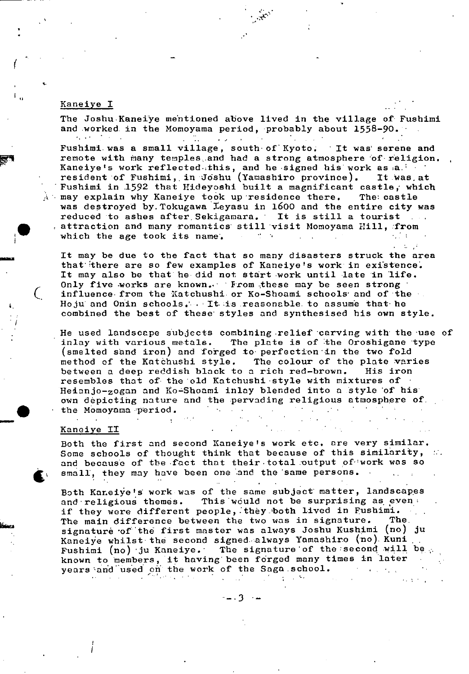#### Kaneiye I

**r**

The Joshu-Kaneiye mentioned above lived in the village of Fushimi and worked in the Momoyama period, probably about  $1558-90$ .  $\sim 100$  km s  $^{-1}$  $\mathbf{r}$ Fushimi. was a small village, south of Kyoto; It was serene and remote with many temples, and had a strong atmosphere of religion. Kaneiye's work reflected.this, and he signed his work as a. resident of Fushimi, in Joshu (Yamashiro province). It was at Fushimi in 1592 that Hideyoshi built a magnificant castle, which  $\lambda$  may explain why Kaneiye took up residence there. The castle was destroyed by. Tokugawa Xeyasu in 1600 and the entire city was reduced to ashes after Sekigamara. It is still a tourist reduced to ashes after Sekigamara. It is still a tourist<br>attraction and many romantics still visit Momoyama Hill, from<br>which the age took its name. which the age took its name.

It may be due to the fact that so many disasters struck the area that there are so few examples of Kaneiye's work in existence. It may also be that he did not start work until late in life. Only five works are known. From these may be seen strong ( influence- from the Katchushi. or Ko-Shoami schools' and of the Hoju and Onin schools.'- , - It- is reasonable- to assunie that he combined the best of these' styles and synthesised his own style.

He used landscape subjects combining relief carving with the use of inlay with various metals. The plate is of the Oroshigane type (smelted sand iron) and forged to perfection in the two fold method of the Katàhushi style. The colour of the plate varies between a deep reddish black to a rich red-brown. His iron resembles that of the old Katchushi style with mixtures of Heianjo-zogan and Ko-Shoami inlay blended into a style of his own depicting nature and the pervading religious atmosphere of. the Momoyama period.

#### Kaneiye II

£

Both the first and second Kaneiye's work etc. are very similar. Some schools of thought think that because of this similarity, and because of the fact that their total output of work was so small, they may have been one and the same persons.

Both Kaneiye's work was of the same subject matter, landscapes and religious themes. This would not be surprising as even: if they were different people, they both lived in Fushimi.<br>The main difference between the two was in signature. The The main difference between the two was in signature. signature of the first master was always Joshu Kushimi (no) ju Kaneiye whilst the second signed-always Yamashiro (no) Kuni Fushimi (no) ju Kaneiye. The signature of the second will be  $\phi$ known to members, it having been forged many times in later • years 'and used on the work of the Saga school.

 $\mathbb{R}$ 

*--3* 

 $\mathbb{R}^2$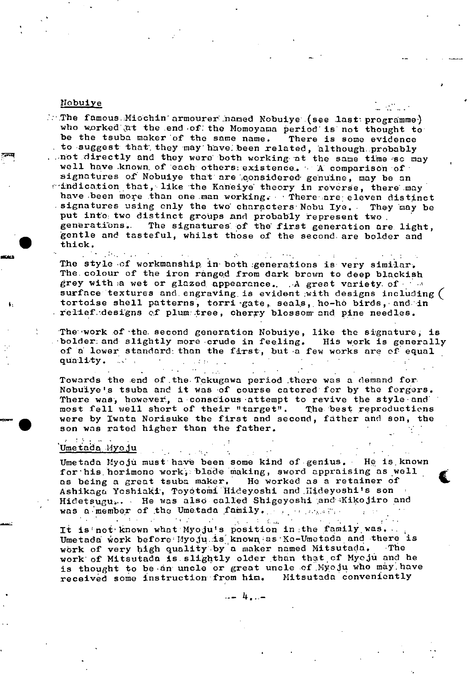#### Nobuiye

 $\therefore$ : The famous. $M$ iochin armourer named Nobuiye (see last programme) who worked at the end of the Momoyama period is not thought to be the tsuba maker of the same name. There **Is** some evidence to suggest that', they may have: been related, 'although. probably . . not directly and they were both working at the same time so may well have known of each others: existence. ' A comparison of signatures of' Nobuiye that are 'qonsidered' genuine, may be an mindication that, like the Kaneiye theory in reverse, there may have been more than one man working. There are eleven distinct signatures using only the two' characters Nobu lye. They 'may be put into: two distinct groups and probably represent two generations.. The signatures. of the' first generation are. light, 'gentle and tasteful, whilst those of the second are bolder and thick.

**STATE AND STATE** The style .of workmanship, in' both :generations is very similar. The colour of the iron ranged from dark brown to deep blackish grey with a wet or glazed appearance. A great variety of  $\gamma$  a surface textures and engraving is evident with designs including ( tortoise shell patterns, torri gate, seals, ho-ho birds, and in relief.designs of plumstree, cherry blossom and pine needles.

The work of the second generation Nobuiye, like the signature, is 'bolder.: and slightly more crude in feeling. His work is generally of a lower standard than the first, but a few works are of equal quality.  $\sim 10^{-11}$ 

Towards the end of.the.Tckugawa period there was a demand for Nobuiye's tsuba and it was of course catered' for by the forgers. There was, however, a conscious attempt to revive the style and 'most fell well short of their "target". The best reproductions most fell well short of their "target". were by Iwata Norisuke the first and second, father and son, the son was rated higher than the father.

 $\mu$  .

 $\sim 100$ 

and the state of

 $\sim 10^4$ 

# Umetada Myoju

Umetada Myoju must have been some kind of genius. He is known for his horimono work, blade making, sword appraising as well as being a great tsuba maker. He worked as a retainer of Ashikaga Yoshiaki, Toyotomi Hideyoshi and Hideyoshi's son Hidetsugu... He was also called Shigeyoshi and Kikojiro and was a member of the Umetada family.  $\mathbf{u}_i$  is  $\mathbf{u}_i$ 

 $\mathcal{L}(\mathbf{r}_i)$ 

 $\mathcal{L}^{\mathcal{L}}(\mathcal{L}^{\mathcal{L}}(\mathcal{L}^{\mathcal{L}}(\mathcal{L}^{\mathcal{L}}(\mathcal{L}^{\mathcal{L}}(\mathcal{L}^{\mathcal{L}}(\mathcal{L}^{\mathcal{L}}(\mathcal{L}^{\mathcal{L}}(\mathcal{L}^{\mathcal{L}}(\mathcal{L}^{\mathcal{L}}(\mathcal{L}^{\mathcal{L}}(\mathcal{L}^{\mathcal{L}}(\mathcal{L}^{\mathcal{L}}(\mathcal{L}^{\mathcal{L}}(\mathcal{L}^{\mathcal{L}}(\mathcal{L}^{\mathcal{L}}(\mathcal{L}^{\mathcal{L$ It is not known what Myoju's position in the family was. Umetada work before Myoju is known as Ko-Umetada and there is work of very high quality by a maker named Mitsutada. The work of Mitsutada is slightly older than that of Myoju and he is thought to be an uncle or great uncle of Myoju who may have received some instruction from him. Mitsutada conveniently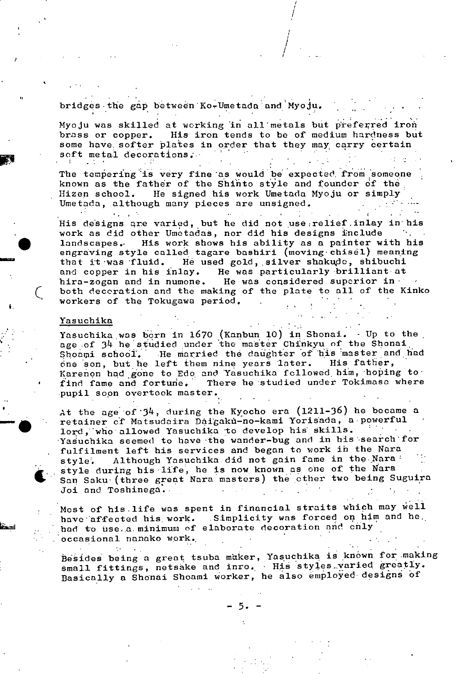bridges the gap between Ko-Umetada and Myoju.

Myoju was skilled at working in all metals but preferred iron brass or copper. His iron tends to be of medium hardness but some have, softer plates in order that they may carry certain soft metal decorations;

 $\int$ 

The tempering is very fine as would be expected from someone known as the father of the Shinto style and founder of the Hizen school. He signed his work Umetada Myoju or simply Umetada, although many pieces are unsigned.

His designs are varied, but he did not use:relief.inlay in his work as did other Umetadas, nor did his designs include ts go landscapes.. His work shows his ability as a painter with his engraving style called tagare bashiri (moving-chisel) meaning that it was fluid. He used gold, silver shakudo, shibuchi and copper in his inlay. He was particularly brilliant at hira-zogan and in numone. He was considered superior inboth decoration and the making of the plate to all of the Kinko workers of the Tokugawa period.

#### Yasuchika

 $\mathbf{r} = \mathbf{r} \times \mathbf{r}$  .

Yasuchika was born in 1670 (Kanbun 10) in Shonai.  $\cdot$  Up to the age of 34 he studied under the master Chinkyu of the Shonai<br>Shoami school. The married the daughter of his master and t He married the daughter of his master and had<br>left them nine years later. His fatter, cne son, but he left them nine years later. Karenon had gone to Edo and Yasuchika fcllowed him, hoping tofind fame and fortune. There he studied under Tokimasa where pupil soon overtook master.

At the age of  $3^4$ , during the Kyocho era (1211-36) he became a retainer of Matsudaira Daigakù-no-kami Yorisada, a powerful lord, who allowed Yasuchika to develop his skills. Yasuchika seemed to have the wander-bug and in his search for fulfilment left his services and began to work in the Nara style. Although Yasuchika did not gain fame in the Nara -<br>style during his life, he is now known as one of the Nara I- style during his life, he is now known as one of the Nara<br>San Saku (three great Nara masters) the other two being Suguira Joi and Toshinega.

> Most of his life was spent in financial straits which may well have affected his work. Simplicity was forced on him and he. had to use.a. minimum of elaborate decoration and cnly occasional nanako work.

Besides being a great tsuba maker, Yasuchika is known for making small fittings, netsake and inro. - His styles varied greatly. Basically a Shonai Shoami worker, he also employed designs of

 $-5. -$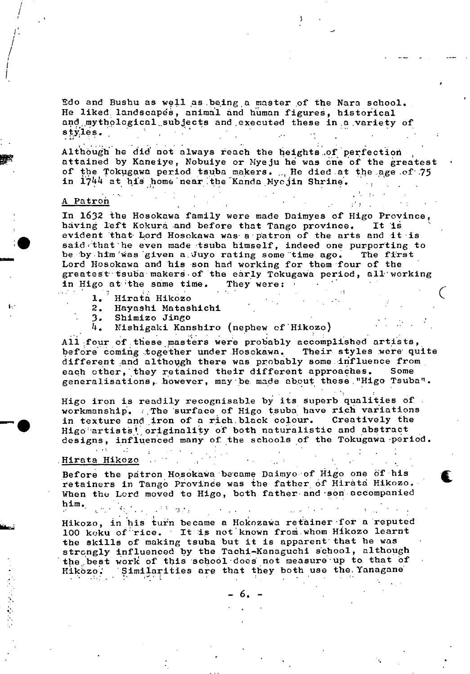Edo and Bushu as well as being a master of the Nara school. He liked landscapes, animal and human figures, historical and mythological,,subjects and ,executed these **in** a variety of  $\mathbf{e}^{\mathbf{e}}_{\mathbf{e}}$   $\mathbf{e}^{\mathbf{e}}_{\mathbf{e}}$   $\mathbf{e}^{\mathbf{e}}_{\mathbf{e}}$   $\mathbf{e}^{\mathbf{e}}_{\mathbf{e}}$   $\mathbf{e}^{\mathbf{e}}_{\mathbf{e}}$   $\mathbf{e}^{\mathbf{e}}_{\mathbf{e}}$   $\mathbf{e}^{\mathbf{e}}_{\mathbf{e}}$   $\mathbf{e}^{\mathbf{e}}_{\mathbf{e}}$   $\mathbf{e}^{\mathbf{e}}_{\mathbf{e}}$   $\mathbf{e}^{\mathbf{e}}$ 

Although' he did not always reach the heights..of perfection attained by Kaneiye, Nobuiye or Myeju he was one of the greatest of the Tokugawa period tsuba makers. .., He died at the age of 75 in 1744 at his home near the Kanda Myojin Shrine.

#### A Patroh

- - --

/

I. / /

> In 1632 the Hosokawa family were made Daimyes of Higo Province, having left Kokura and before that Tango province. It is having left Kokura and before that Tango province. evident that Lord Hosokawa was a patron of the arts and it is said that he even made tsuba himself, indeed one purporting to be by him was given a Juyo rating some time ago. The first Lord Hosokawa and his son had working for them four of the greatest tsuba makers of the early Tokugawa period, all working in Higo at the same time. They were:

- 
- 1. Hirata Hikozo<br>2. Hayashi Matas 2. Haynshi Matashichi
- 
- 3. Shimizo Jingo<br>4. Nishigaki Kan Nishigaki Kanshiro (nephew of Hikozo)

All four of these masters were probably accomplished artists, before coming together under Hosokawa. Their styles were quite different and although there was probably some influence from each other, they retained their different approaches. Some generalisations,- however, maybe. made about these,"Higo Tsuba".

Higo iron is readily recognisable by its superb qualities of workmanship. The surface of Higo tsuba have rich variations<br>in texture and iron of a rich black colour. Creatively the in texture and iron of a rich black colour. Higo artists<sup>t</sup> originality of both naturalistic and abstract designs, influenced many of the schools of the Tokugawa period.

. The set of the set of the set of the set of the set of the set of the set of the set of the set of the set of the set of the set of the set of the set of the set of the set of the set of the set of the set of the set of

 $\zeta$ 

t

# , .<br>Rirata Hikozo

Before the patron Hosokawa became Daimyo of Higo one of his retainers in Tango Provinde was the father of Hiràta Hikozo. When the Lord moved to Higo, both father- and son accompanied him.

Hikozo, in his turn became a Hokozawa retainer for a reputed 100 keku of"rice. It **is** not'known froth,whom Hikozo learnt the skills of making tsuba but it is apparent' that he was strongly influenced by the Tachi—Kanaguchi school, although the best work of this school does not measure up to that of Hikozo : Similarities are that they both use the Yanagane

6.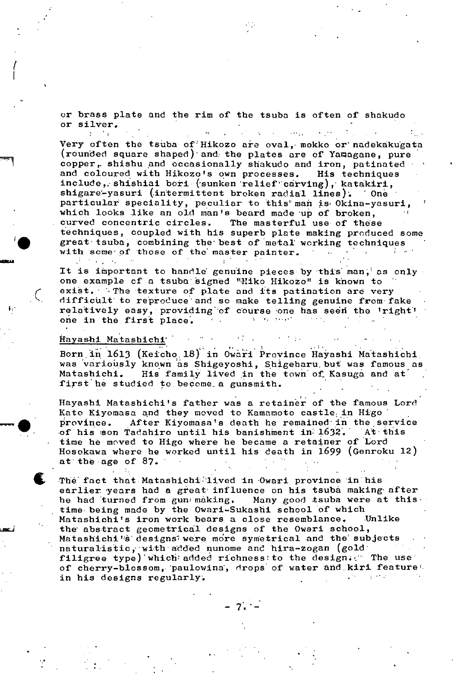or brass plate and the rim of the tsuba is often of shakudo or silver.

Very often the tsuba of Hikozo are oval, mokko or nadekakugata (rounded square shaped) and: the plates are of Yaragane, pure copper, shishu and occasionally shakudo and iron, patinated and coloured with Hikozo's own processes. His techniques include, shishiai bori (sunken relief carving), katakiri, shigare-yasuri (intermittent broken radial lines). One particular speciality, peculiar to this man is Okina-yasuri, • which looks like an old man's beard made up of broken, curved concentric circles. The masterful use of these techniques, coupled with his superb plate making produced some great tsuba, combining the best of metal working techniques with some of those of the master painter.

It is important to handle genuine pieces by this man, as only one example of a tsuba signed "Hiko Hikozo" is known to exist. The texture of plate and its patination are very difficult to reproduce and so make telling genuine from fake relatively easy, providing of course one has seen the 'right' one in the first place.

#### Havashi Matashichj

 $\Delta \sim$ 

-•

Born in 1613 (Keicho 18) in Owari Province Hayashi Matashichi. was variously known as Shigeyoshi, Shigeharu but was famous as Matashichi. His family lived in the town of Kasuga and at His family lived in the town of Kasuga and at first he studied to become a gunsmith.

 $\sim 10$ 

Hayashi Matashichi's father was a retainer of the famous Lord Kato Kiyomasa and they moved to Kamamoto castle in Higo province. After Kiyomasa's death he remained in the service<br>of his son Tadahiro until his banishment in 1632. At this of his son Tadahiro until his banishment in 1632. time he moved to Higo where he became a retajner of Lord Hosokawa where he worked until his death in 1699 (Genroku 12) at the age of  $87.$ 

The fact that Matashichi lived in Owari province in his earlier years had a great influence on his tsuba making after<br>he had turned from gun making. Many good tsuba were at this he had turned from gun making. time being made by the Owari-Sukashi school of which Matashichi's iron work bears a close resemblance. Unlike the abstract geometrical designs of the Owari school, Matashichi's designs were more symetrical and the subjects naturalistic, with added nunome and hira-zogan (gold filigree type) which added richness to the design. The use of cherry-blossom, paulowina, drops of water and kiri feature. in his designs regularly.

- 7,!•-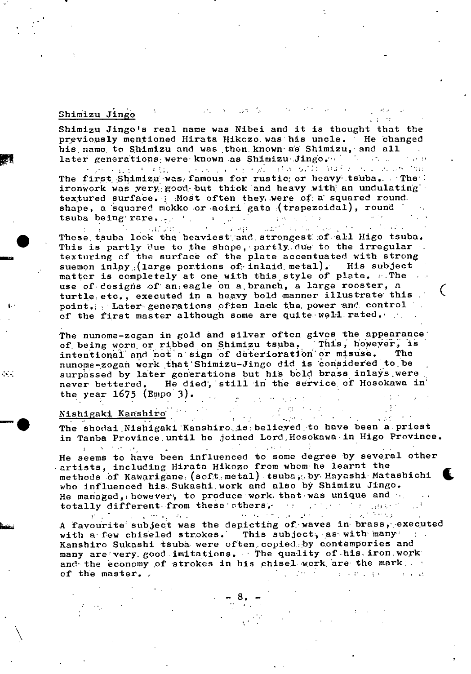### Shimizu Jingo

Shimizu Jingo's real name was Nibei and it is thought that the previously mentioned Hirata Hikozo, was his uncle. He changed his, name. to Shimizu and was ,thon.known- as Shimizu,'and all later generations were known as Shimizu Jingo. The first state of the control of the control of the control of the control of the control of the control of the control of the control of the control of the control of the co  $\mathcal{L}_{\text{max}}$  , where  $\mathcal{L}_{\text{max}}$  $14 - 24$ 

The first Shimizu was, famous for rustic; or heavy tsuba.. The' ironwork was very good but thick and heavy with an undulating textured surface. Most often they, were of a squared round. shape, a squared mokko or aoiri gata (trapezoidal), round tsuba being'rare... the contract of the set of the set of the set of the set of the set of the set of the set of the set of the set of the set of the set of the set of the set of the set of the set of the set of the set of

These tsuba look the heaviest and strongest of all Higo tsuba. This is partly due to the shape, partly due to the irregular. texturing of the surface of the plate accentuated with strong suemon inlay<sub>.</sub> (large portions of inlaid metal). His subject matter is completely at one with this style of plate. . The use of-designs of' an eagle on a,branch, a large rooster, a turtle etc., executed in a heavy bold manner illustrate this. point. Later generations often lack the power and control of the first master although some are quite well rated.

 $\big($ 

The nunone-zogan in gold and silver often gives the appearance' of being worn or ribbed on Shimizu tsuba. This, however, is<br>intentional and not a sign of deterioration or misuse. The intentional and not a sign of deterioration or misuse. nunome-zogañ work that Shimizu-Jingo did is considered to be surpassed by later generations but his bold brass inlays were never bettered. He died, still in the service of Hosokawa in' the year  $1675$  (Empo 3).  $\mathcal{L}(\mathcal{E})$  , we define the  $\mathcal{E}$ 

# Nishagaki Kanshiro

 $\sim$  -  $\sim$ 

The shodai Nishigaki Kanshiro is: believed to have been a priest in Tanba Province until he joined Lord, Hosokawa in Higo Province.

He seems to have been influenced to some degrep by several other<br>artists, including Hirata Hikozo from whom he learnt the<br>methods of Kawarigane (soft, metal) tsuba, by Hayashi Matashichi<br>who influenced his Sukashi work and artists, including Hirata Hikozo from whom he learnt the methods of Kawarigane (soft metal) tsuba, by Hayashi Matashichi who influenced his Sukashi work and also by Shimizu Jingo. He managed, however', to produce work that was unique and  $\dots$ totally different from these others. Hence the second constant of  $\mathbb{R}^n$ 

A favourite subject was the depicting of waves in brass, executed with a few chiseled strokes. This subject, as with many Kanshiro Sukashi tsuba were often copied, by contempories and many are'very. good imitations. The quality of his iron work and the economy of strokes in his chisel work are the mark,  $\mathcal{L}^{\mathcal{L}}(\mathcal{L}^{\mathcal{L}}(\mathcal{L}^{\mathcal{L}}))$  . If  $\mathcal{L}^{\mathcal{L}}(\mathcal{L}^{\mathcal{L}}(\mathcal{L}^{\mathcal{L}}))$ of the master.  $-3.12 - 11$ 

-.8.-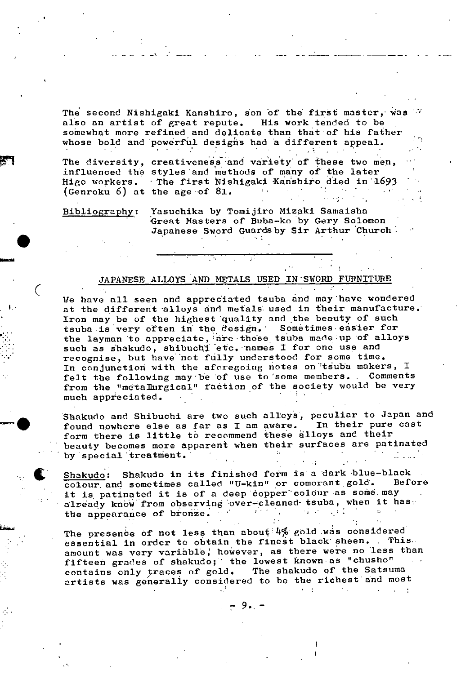The second Nishigaki Kanshiro, son of the first master, was  $\mathbb{W}$ also an artist of great repute. His work tended to be somewhat more refined and delicate than that of his father whose bold and powerful desighs had a different appeal.

The diversity, creativeness and variety of these two men, influenced the styles and methods of many of the later Higo workers. The first Nishigaki Kanshiro died in 1693 (Genroku 6) at the age of 81.  $2 - 1$ 

Bibliography: Yasuchika by Tomijiro Mizaki Samaisha • Great Masters of Buba-ko by Gery Solomon Japanese Sword Guards by Sir Arthur Church

### JAPANESE ALLOYS AND METALS USED IN SWORD FURNITURE

We have all seen and appreciated tsuba and may have wondered at the different alloys and metals used in their manufacture. Iron may be of the highest quality and the beauty of such tsuba **is** very often in the design. Sometimes easier for the layman to appreciate, are those tsuba made up of alloys such as shakudo, shibuchi etc. names I for one use and recognise, but have not fully understood for some time. In conjunction with the afcregoing notes on tsuba makers, I felt the following may be of use to some members. Comments from the "metallurgical" faction of the society would be very much appreciated.

Shakudo and Shibuchi are two such alloys, peculiar to Japan and<br>found nowhere else as far as I am aware. In their pure cast found nowhere else as far as I am aware. form there **is** little to recommend these alloys and their beauty becomes more apparent when their surfaces are patinated by special treatment.

**Shakudo:** Shakudo in its finished form is a dark blue-black<br>colour and sometimes called "U-kin" or comorant gold. Before colour and sometimes called "U-kin" or comorant gold. it is patinated it is of a deep copper colour as some may already know from observing over-cleaned tsuba, when it has: the appearance of bronze.  $\Delta\sim 10^{-1}$ 

The presence of not less than about  $4\%$  gold was considered essential in order to obtain the finest black' sheen. . This amount was very variable, however, as there were no less than fifteen grades of shakudo; the lowest known as "chusho" contains only traces of  $gold.$ The shakudo of the Satsuma artists was generally considered to be the richest and most

9.. -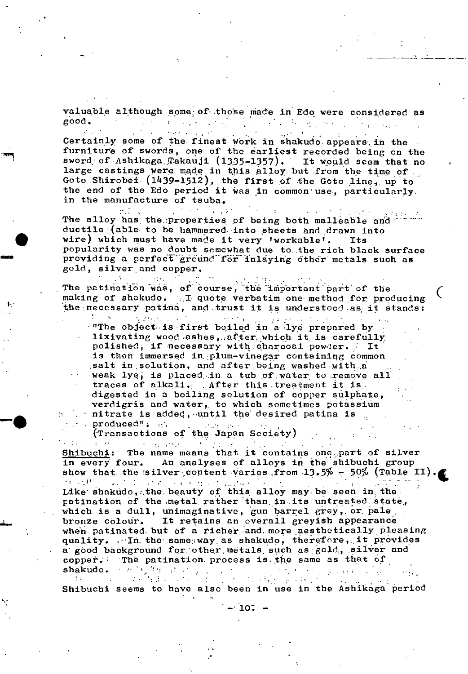valuable although some of those made in Edo were considered as  $\label{eq:2.1} \mathcal{L}_{\mathcal{A}}(\mathcal{A}) = \mathcal{L}_{\mathcal{A}}(\mathcal{A}) = \mathcal{L}_{\mathcal{A}}(\mathcal{A}) = \mathcal{L}_{\mathcal{A}}(\mathcal{A})$  $good.$  $\mathcal{H}^{\mathcal{A}}_{\mathcal{A}}$  , where  $\mathcal{H}^{\mathcal{A}}_{\mathcal{A}}$  $\mathcal{L}_{\text{max}}$  , where  $\mathcal{L}_{\text{max}}$  is the set of the  $\mathcal{L}_{\text{max}}$ 

Certainly some of the finest work in shakudo appears in the furniture of swords, one of the earliest recorded being on the sword of Ashikaga Takauji (1335-1357). It would seem that no large castings were made in this alloy but from the time of Goto Shirobei  $(1439-1512)$ , the first of the Goto line, up to the end of the Edo period it was in common use, particularly. in the manufacture of tsuba.

 $\gamma$  , which is a part of  $\gamma$  $\mathcal{F}(\mathcal{F})$  $\Delta\phi$  ,  $\Delta\phi$ The alloy has the properties of being both malleable and ductile (able to be hammered into sheets and drawn into wire) which must have made it very 'workable'. **Its** popularity was no doubt samewhat due to the rich black surface providing a perfect ground for inlaying other metals such as gold, silver and copper.

 $\mathcal{L}^{\text{max}}(\mathcal{L}^{\text{max}})$ The patination was, of course, the important part of the making of shakudo. I quote verbatim one method for producing the necessary patina, and trust it is understood as it stands:

医神经反应的  $\alpha$  ,  $\alpha$ "The object is first boiled in a lye prepared by lixivating wood ashes, after which it is carefully polished, if necessary with charcoal powder. It is then immersed in plum-vinegar containing common salt in solution, and after being washed with a weak lye, is placed in a tub of water to remove all traces of alkali. After this treatment it is. digested in a boiling solution of copper sulphate, verdigris and water, to which sometimes potassium . nitrate is added, until the desired patina is

. produced": and **Study of the Sta** produced": 111 (Transactions of the Japan Seciety)

 $\sim$  100  $\mu$ 

 $\mathcal{F}(\mathcal{A})$  , where contractors and the contractors Shibuchi: The name means that it contains one part of silver in every four. An analyses of alloys in the shibuchi group show that the silver content varies from 13.5% - 50% (Table II). 上の 受持 and the following contract of the problems.  $\ddot{\phantom{0}}$  $\sim 10$ 

Like shakudo, the beauty of this alloy may be seen in the patination of the metal rather than in its untreated state, which is a dull, unimaginative, gun barrel grey, or pale bronze colour. It retains an everall greyish appearance when patinated but of a richer and more aesthetically pleasing quality.  $\cdots$  In the same way as shakudo, therefore, it provides a good background for other metals such as gold, silver and copper. The patination process is the same as that of  $\epsilon$  ,  $\mu$  ,  $\epsilon$  ,  $\epsilon$ shakudo.

a Mariadh anns an Coiminn an Christianach<br>Madhar an Aonadh anns an Christianach an Aonadh  $\sim 100$  $\mathcal{L}(\mathcal{F})$  $\sim$   $\sim$ Shibuchi seems to have also been in use in the Ashikaga period

 $\cdot$  10.  $-$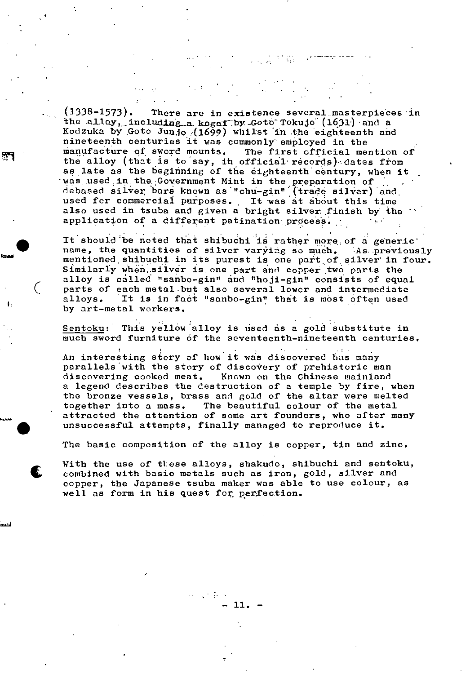$(1338-1573)$ . There are in existence several masterpieces in the alloy, including a kogar by Goto Tokujo  $(1631)$  and a Kodzuka by Goto Junjo (1699) whilst in the eighteenth and nineteenth centuries it was commonly employed in the manufacture of sword mounts. The first official mention of the alloy (that is to say, in official records) dates from as late as the beginning of the eighteenth century, when it was used in the Government Mint in the preparation of debased silver: bars known as"chü-gin"(trade silver) and used for commercial purposes. It was at about this time also used in tsuba and given a bright silver finish by-the application of a different patination process.

ुन्

in Tip

It should be noted that shibuchi is rather more of a generic name, the quantities of silver varying so much. As previously mentioned shibuchi in its purest is one part of silver in four. Similarly when silver is one part and copper two parts the alloy is called "sanbo-gin" and "hoji-gin" consists of equal ( parts of each metal but also several lower and Intermediate alloys. It is in fact "sanbo-gin" that is most often used by art-metal workers.

Sentoku: This yellow alloy is used as a gold substitute in much sword furniture of the seventeenth-nineteenth centuries.

An interesting stery of how it was discovered has many parallels with the story of discovery of prehistoric man discovering cooked meat. Known on the Chinese mainland a legend describes the destruction of a temple by fire, when the bronze vessels, brass and gold of the altar were melted together into a mass. The beautiful colour of the metal attracted the attention of some art founders, who after many unsuccessful attempts, finally managed to reproduce it.

The basic composition of the alloy is copper, tin and zinc.

With the use of these alloys, shakudo, shibuchi and sentoku, combined with basic metals such as iron, gold, silver and copper, the Japanese tsuba maker was able to use colour, as well as form in his quest for. perfection.

- 11. -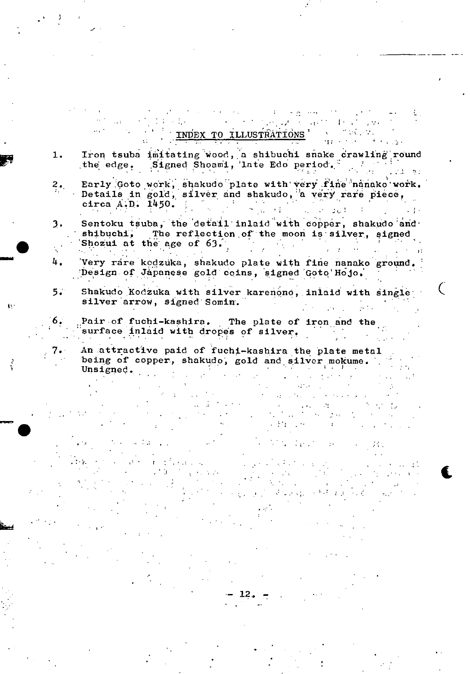# INDEX TO ILLUSTRATIONS'

 $\sqrt{2\pi}$ 

 $\mathcal{F}_{\mathcal{A}}$  .

 $\Gamma\in\mathbb{R}^{N\times N}$ 

- Iron tsuba imitating wood, a shibuchi snake crawling round  $1.$ the edge. Signed Shoami, late Edo period.  $\sim 2.4-9$  .
- Early Goto work, shakudo plate with very fine nanako work. Early Goto work, shakudo plate with yer, the mineral Details in gold, silver and shakudo, a very rare piece,  $2.$
- Sentoku tsuba, the detail inlaid with copper, shakudo and  $3.$ shibuchi, The reflection of the moon is silver, signed Shozui at the age of 63.  $\mathcal{L}^{\mathcal{L}}(\mathcal{L}^{\mathcal{L}})$  and  $\mathcal{L}^{\mathcal{L}}(\mathcal{L}^{\mathcal{L}})$
- $\mathbf{4}$  . Very rare kodzuka, shakudo plate with fine nanako ground. Design of Japanese gold coins, signed Goto Hojo.

 $\mathcal{A}=\mathcal{A}$  .

长

- Shakudo Kodzuka with silver karenono, inlaid with single  $5.$ silver arrow, signed Somin.
- Pair of fuchi-kashira. The plate of iron and the 6. surface inlaid with dropes of silver.

An attractive paid of fuchi-kashira the plate metal being of copper, shakudo, gold and silver mokume.  $\frac{1}{2}$  and  $\frac{1}{2}$  and  $\frac{1}{2}$ Unsigned.  $\sim$ 

 $\sim 4\%$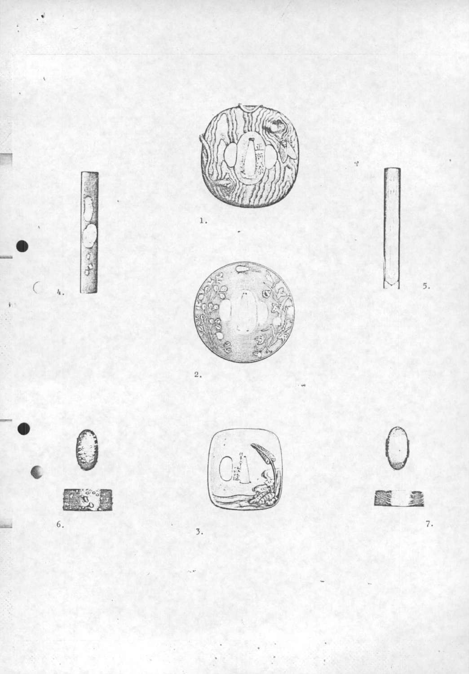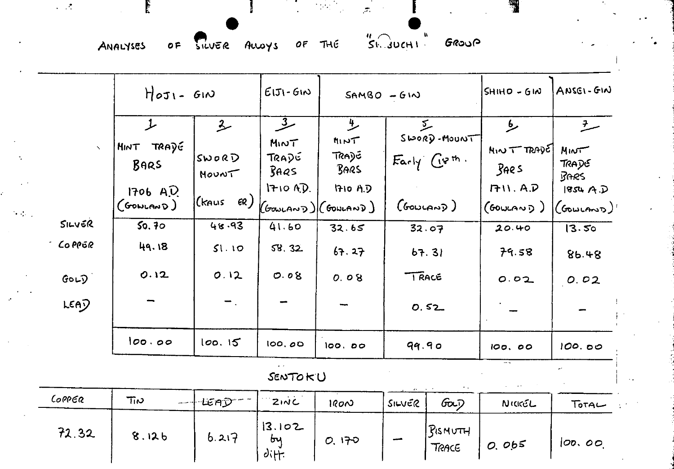ANALYSES

OF SILVER ALLOYS OF THE

SI JUCHI GROUP

 $\sigma$ 

|                | $H_{0}J_{1} - G_{1}N$                               |                  | $E[5] - GIN$         | $SAMSO - G1N$                                                      |                                      |                                      | $SHHD - GIM$     | ANSEI-GIN                                                 |  |  |
|----------------|-----------------------------------------------------|------------------|----------------------|--------------------------------------------------------------------|--------------------------------------|--------------------------------------|------------------|-----------------------------------------------------------|--|--|
|                | 上<br>$\hat{2}$                                      |                  | <u>عر</u>            | 少                                                                  | $\Sigma$                             |                                      | مط               | $\frac{7}{2}$                                             |  |  |
| $\bar{\infty}$ | <b>HINT TRADE</b><br>BARS<br>1706 A.D.<br>(GONLAND) |                  | MINT                 | MINT                                                               | $S$ 100RD - MOUNT<br>$Fachy' Ggth$ . |                                      | NormT            | MINT                                                      |  |  |
|                |                                                     | SWORD<br>MOUNT   | TRADE<br>BAGS        | JRA)G<br>BARS                                                      |                                      |                                      | 39e <sub>5</sub> | TRADE<br><b>BARS</b>                                      |  |  |
|                |                                                     |                  | $1710$ A.D.          | <b>HOAD</b>                                                        |                                      |                                      | <b>1711.A.D</b>  | 1854A.D                                                   |  |  |
|                |                                                     | Kkaus)<br>6R)    |                      | $(\mathsf{Gow}$ can $\mathsf{D})$ $(\mathsf{Gow}$ an $\mathsf{D})$ | (600(n)                              |                                      | (GOWLAND)        | $(\mathcal{C}_{\mathsf{Goul} \mathsf{AND}})^{\mathsf{H}}$ |  |  |
| SILVER         | 50.70                                               | 48.93            | 41.60                | 32.65                                                              |                                      | 32.07                                | 20.40            | 13.50                                                     |  |  |
| <b>COPPER</b>  | 49.18                                               | 51.10            | 58.32                | 67.27                                                              | 67.31                                |                                      | 79.58            | 86.48                                                     |  |  |
| GOLD           | 0.12                                                | 0.12             | 0.08                 | 0.08                                                               | <b>TRACE</b>                         |                                      | 0.02             | 0.02                                                      |  |  |
| <b>LEAD</b>    |                                                     | $\blacksquare$ . |                      |                                                                    | 0.52                                 |                                      |                  |                                                           |  |  |
|                | 100.00                                              | 100.15           | 100.00               | 100.00                                                             | 99.90                                |                                      | 100.00           | 100.00                                                    |  |  |
| y.<br>SENTOKU  |                                                     |                  |                      |                                                                    |                                      |                                      |                  |                                                           |  |  |
| CoppER         | $\pi$<br>.                                          | ∙ŒAD™            | 211C                 | 1800                                                               | SILVER                               | Gois                                 | NICKEL           | Torac                                                     |  |  |
| 72.32          | 8.126                                               | 6.217            | 3.102<br>by<br>diff. | 0.170                                                              |                                      | $B$ <sub>s</sub> $M$<br><b>TRACE</b> | 0.065            | [ <i>OD</i> , <i>OO</i> ]                                 |  |  |

 $\sim 10^4$ 

 $\sim$   $\sim$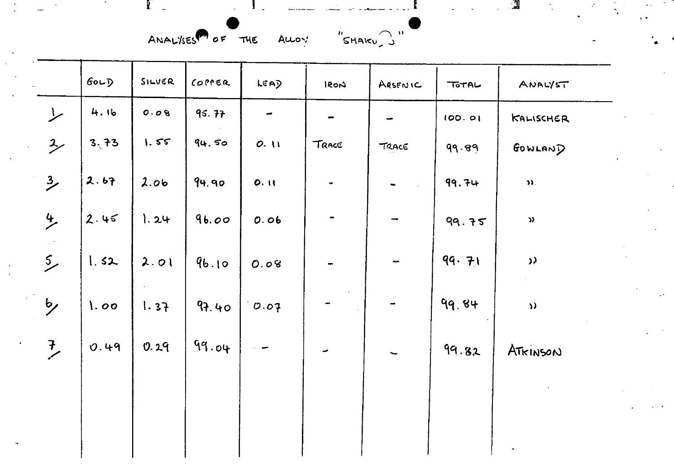ANALYSES<sup>PO</sup> OF THE ALLOY "SHAKU )"

|                      | $60-7$ | SILVER | COPPER | LEAD                     | IRON           | ARSENIC                  | TOTAL  | ANALYST                    |
|----------------------|--------|--------|--------|--------------------------|----------------|--------------------------|--------|----------------------------|
| $\overline{L}$       | 4.16   | 0.08   | 95.77  | $\overline{\phantom{m}}$ |                | ÷                        | 100.01 | KALISCHER                  |
| $\overline{2}$       | 3,73   | 1.55   | 94.50  | 0.11                     | TRACE          | TRACE                    | 99.89  | GOWLAND                    |
| $\frac{3}{2}$        | 2.67   | 2.06   | 94.90  | 0.11                     | $\blacksquare$ |                          | 99.74  | $\mathfrak{D}.$            |
| $\frac{4}{5}$        | 2.45   | 1.24   | 96.00  | 0.06                     | $\blacksquare$ |                          | 99.75  | $\boldsymbol{\mathcal{Y}}$ |
| $\frac{5}{2}$        | 1.52   | 2.01   | 96.10  | 0.08                     |                |                          | 99.71  | $\lambda$                  |
| $\frac{b}{\sqrt{2}}$ | 1.00   | 1.37   | 97.40  | 0.07                     |                |                          | 99.84  | $\mathbf{v}$               |
| $\overline{L}$       | 0.49   | 0.29   | 99.04  |                          |                | $\overline{\phantom{0}}$ | 99.82  | ATKINSON                   |
|                      |        |        |        |                          |                |                          |        |                            |
|                      |        |        |        |                          |                |                          |        |                            |
|                      |        |        |        |                          |                |                          |        |                            |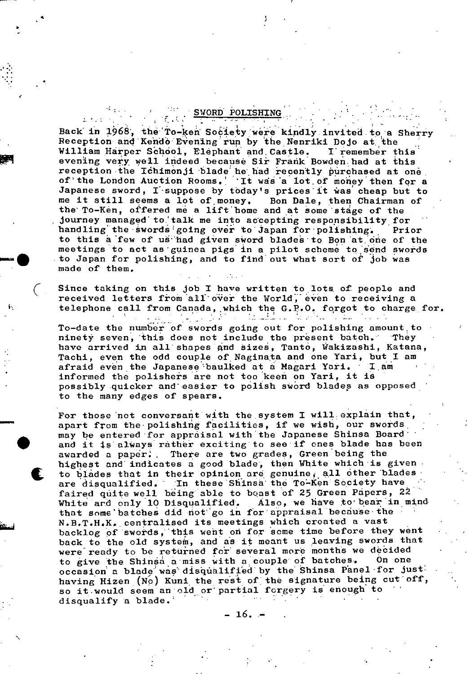### SWORD POLISHING

4

I

Back in 1968, the To-ken Society were kindly invited to a Sherry Reception and Kendo Evening run by the Nenriki Dojo at the William Harper School, Elephant and Castle. I remember this evening very well indeed because Sir Frank Bowden had at this reception the Ichimonji blade he had recently purchased at one of the London Auction Rooms. It was a lot of money then for a Japanese sword,  $I$  suppose by today's prices it was cheap but to me it still seems a lot of,money. Bon Dale, then Chairman of the' To-Ken, offered me a lift'bome and at some 'stage of the journey managed to talk me into accepting responsibility for handling the swords going over to Japan for polishing. Prior to this a few of us had given sword blades to Bon at one of the meetings to act as guinea pigs in a pilot scheme to send swords to Japan for polishing, and to find out what sort of job was made of them.

Since taking on this job I have written to lots of people and received letters from all over the World, even to receiving a ft telephone call from Canada, which the G.P.O. forgot to charge for. <u> 14 adem en</u>  $\mathcal{O}(\mathcal{O}_\mathcal{O})$  $\mathcal{L} = \{ \mathcal{L} \mid \mathcal{L} \in \mathcal{L} \}$  .

To-date the number of swords going out for polishing amount to ninety seven, this does not include the present batch. They have arrived in all shapes and sizes, Tanto, Wakizashi, Katana, Tachi, even the odd couple of Naginata and one Yari, but I am afraid even the Japanese baulked at a Magari Yari. I am informed the polishers are not too keen on Yari, it is • possibly quicker and' easier to polish sword bladep as opposed to the many edges of spears.

For those not conversant with the system I will explain that, apart from the polishing facilities, if we wish, our swords may be entered for appraisal with the Japanese Shinsa Board' and it is always rather exciting to see if ones blade has been awarded a paper. There are two grades, Green being the highest and' indicates a good blade', then White which **'is** given to blades that in their opinion are genuine, all other blades are disqualified. In these Shinsa the To-Ken Society have faired quite well being able to boast of 25 Green Papers, 22 White and only 10 Disqualified. Also, we have to'bear **in mind**  that some batches did not go in for appraisal because the N.B.T.H.K. centralised its meetings which created a vast backlog of swords, this went on for some time before they went back to the old system, and as it meant us leaving swords that were ready to be returned for several more months we decided<br>to give the Shinsa a miss with a couple of batches. On one to give the Shinsa a miss with a couple of batches. occasion a blade was disqualified by the Shinsa Panel for just: having Hizen (No) Kuni the rest of the signature being cut off, so it would seem an old or partial forgery is enough to<br>disqualify a blade.

 $-16.$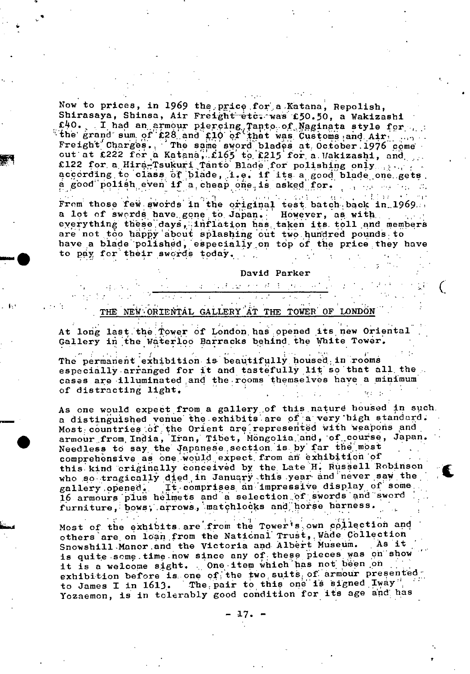Now to prices, in 1969 the price for a Katana, Repolish, Shirasaya, Shinsa, Air Freight etc. was £50.50, a Wakizashi the grand sum of £28 and £10 of that was Customs and Air ... Freight Charges. The same sword blades at October 1976 come out at £222 for a Katana, £165 to £215 for a Wakizashi, and £122 for a Hira-Tsukuri Tanto Blade for polishing only served according to class of blade, i.e. if its a good blade one gets.<br>a good polish even if a cheap one is asked for. **SALAR** 

From those few swords in the original test batch back in 1969. a lot of swords have gone to Japan. However, as with everything these days, inflation has taken its toll and members are not too happy about splashing out two hundred pounds to have a blade polished, especially on top of the price they have to pay for their swords today.

David Parker

## THE NEW ORIENTAL GALLERY AT THE TOWER OF LONDON

At long last the Tower of London has opened its new Oriental Gallery in the Waterloo Barracks behind the White Tower.

The case of the property of the process of

The permanent exhibition is beautifully housed in rooms especially arranged for it and tastefully lit so that all the cases are illuminated and the rooms themselves have a minimum of distracting light.

As one would expect from a gallery of this nature housed in such. a distinguished venue the exhibits are of a very high standard. Most countries of the Orient are represented with weapons and armour from India, Iran, Tibet, Mongolia and, of course, Japan. Needless to say the Japanese section is by far the most comprehensive as one would expect from an exhibition of this kind criginally conceived by the Late H. Russell Robinson who so tragically died in January this year and never saw the gallery opened. It comprises an impressive display of some. 16 armours plus helmets and a selection of swords and sword furniture, bows, arrows, matchlocks and horse harness.

Most of the exhibits are from the Tower's own collection and others are on loan from the National Trust, Wade Collection Snowshill Manor and the Victoria and Albert Museum. As it is quite some time now since any of these pieces was on show it is a welcome sight. One item which has not been on exhibition before is one of the two suits of armour presented to James I in 1613. The pair to this one is signed Iway". Yozaemon, is in tolerably good condition for its age and has